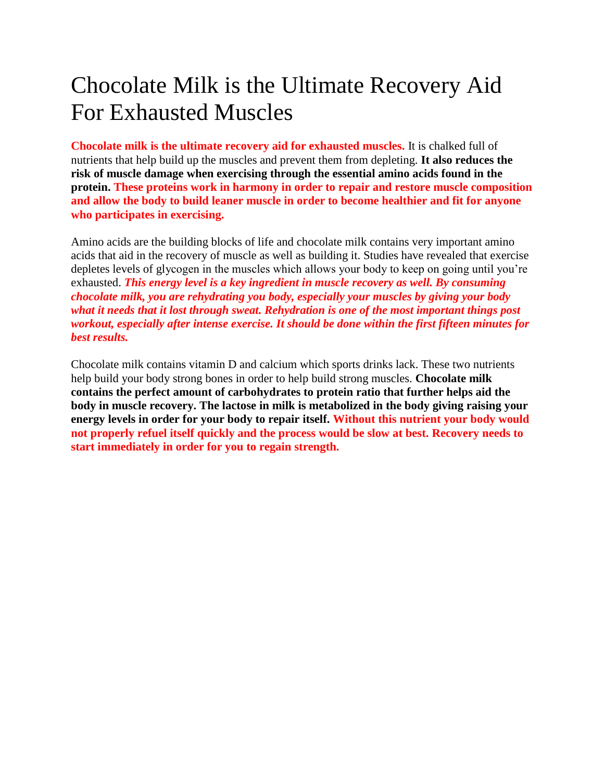## Chocolate Milk is the Ultimate Recovery Aid For Exhausted Muscles

**Chocolate milk is the ultimate recovery aid for exhausted muscles.** It is chalked full of nutrients that help build up the muscles and prevent them from depleting. **It also reduces the risk of muscle damage when exercising through the essential amino acids found in the protein. These proteins work in harmony in order to repair and restore muscle composition and allow the body to build leaner muscle in order to become healthier and fit for anyone who participates in exercising.**

Amino acids are the building blocks of life and chocolate milk contains very important amino acids that aid in the recovery of muscle as well as building it. Studies have revealed that exercise depletes levels of glycogen in the muscles which allows your body to keep on going until you're exhausted. *This energy level is a key ingredient in muscle recovery as well. By consuming chocolate milk, you are rehydrating you body, especially your muscles by giving your body what it needs that it lost through sweat. Rehydration is one of the most important things post workout, especially after intense exercise. It should be done within the first fifteen minutes for best results.*

Chocolate milk contains vitamin D and calcium which sports drinks lack. These two nutrients help build your body strong bones in order to help build strong muscles. **Chocolate milk contains the perfect amount of carbohydrates to protein ratio that further helps aid the body in muscle recovery. The lactose in milk is metabolized in the body giving raising your energy levels in order for your body to repair itself. Without this nutrient your body would not properly refuel itself quickly and the process would be slow at best. Recovery needs to start immediately in order for you to regain strength.**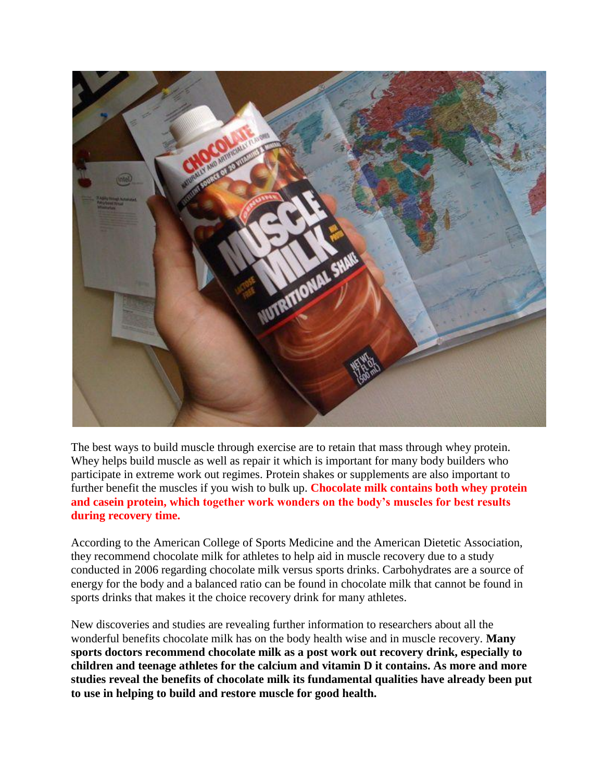

The best ways to build muscle through exercise are to retain that mass through whey protein. Whey helps build muscle as well as repair it which is important for many body builders who participate in extreme work out regimes. Protein shakes or supplements are also important to further benefit the muscles if you wish to bulk up. **Chocolate milk contains both whey protein and casein protein, which together work wonders on the body's muscles for best results during recovery time.**

According to the American College of Sports Medicine and the American Dietetic Association, they recommend chocolate milk for athletes to help aid in muscle recovery due to a study conducted in 2006 regarding chocolate milk versus sports drinks. Carbohydrates are a source of energy for the body and a balanced ratio can be found in chocolate milk that cannot be found in sports drinks that makes it the choice recovery drink for many athletes.

New discoveries and studies are revealing further information to researchers about all the wonderful benefits chocolate milk has on the body health wise and in muscle recovery. **Many sports doctors recommend chocolate milk as a post work out recovery drink, especially to children and teenage athletes for the calcium and vitamin D it contains. As more and more studies reveal the benefits of chocolate milk its fundamental qualities have already been put to use in helping to build and restore muscle for good health.**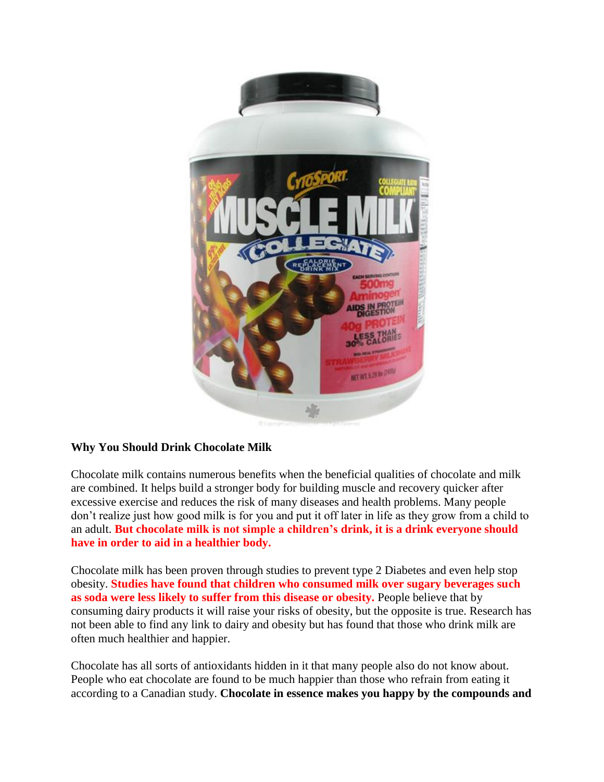

## **Why You Should Drink Chocolate Milk**

Chocolate milk contains numerous benefits when the beneficial qualities of chocolate and milk are combined. It helps build a stronger body for building muscle and recovery quicker after excessive exercise and reduces the risk of many diseases and health problems. Many people don't realize just how good milk is for you and put it off later in life as they grow from a child to an adult. **But chocolate milk is not simple a children's drink, it is a drink everyone should have in order to aid in a healthier body.**

Chocolate milk has been proven through studies to prevent type 2 Diabetes and even help stop obesity. **Studies have found that children who consumed milk over sugary beverages such as soda were less likely to suffer from this disease or obesity.** People believe that by consuming dairy products it will raise your risks of obesity, but the opposite is true. Research has not been able to find any link to dairy and obesity but has found that those who drink milk are often much healthier and happier.

Chocolate has all sorts of antioxidants hidden in it that many people also do not know about. People who eat chocolate are found to be much happier than those who refrain from eating it according to a Canadian study. **Chocolate in essence makes you happy by the compounds and**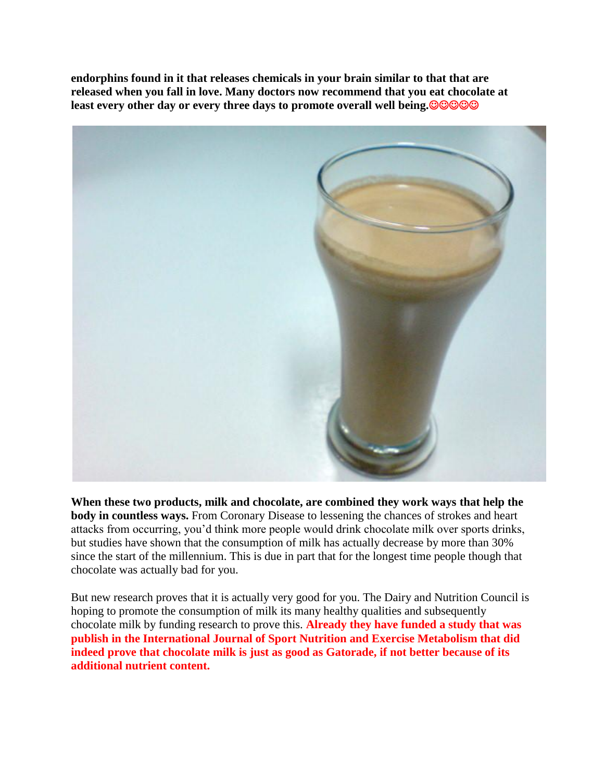**endorphins found in it that releases chemicals in your brain similar to that that are released when you fall in love. Many doctors now recommend that you eat chocolate at least every other day or every three days to promote overall well being.**



**When these two products, milk and chocolate, are combined they work ways that help the body in countless ways.** From Coronary Disease to lessening the chances of strokes and heart attacks from occurring, you'd think more people would drink chocolate milk over sports drinks, but studies have shown that the consumption of milk has actually decrease by more than 30% since the start of the millennium. This is due in part that for the longest time people though that chocolate was actually bad for you.

But new research proves that it is actually very good for you. The Dairy and Nutrition Council is hoping to promote the consumption of milk its many healthy qualities and subsequently chocolate milk by funding research to prove this. **Already they have funded a study that was publish in the International Journal of Sport Nutrition and Exercise Metabolism that did indeed prove that chocolate milk is just as good as Gatorade, if not better because of its additional nutrient content.**